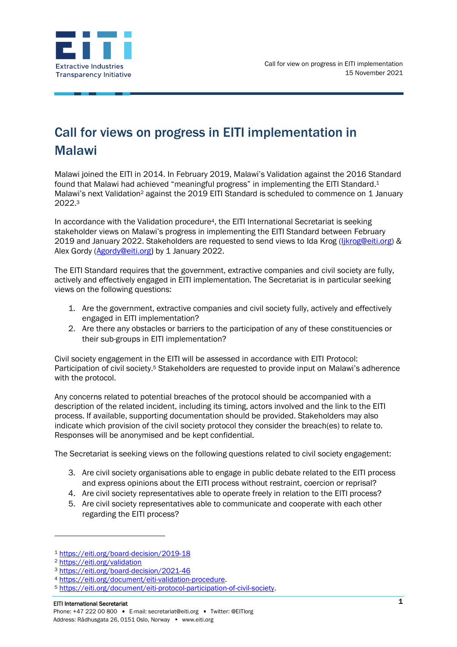

## Call for views on progress in EITI implementation in Malawi

Malawi joined the EITI in 2014. In February 2019, Malawi's Validation against the 2016 Standard found that Malawi had achieved "meaningful progress" in implementing the EITI Standard.<sup>1</sup> Malawi's next Validation<sup>2</sup> against the 2019 EITI Standard is scheduled to commence on 1 January 2022. 3

In accordance with the Validation procedure4, the EITI International Secretariat is seeking stakeholder views on Malawi's progress in implementing the EITI Standard between February 2019 and January 2022. Stakeholders are requested to send views to Ida Krog [\(Ijkrog@eiti.org\)](mailto:Ijkrog@eiti.org) & Alex Gordy [\(Agordy@eiti.org](mailto:Agordy@eiti.org)) by 1 January 2022.

The EITI Standard requires that the government, extractive companies and civil society are fully, actively and effectively engaged in EITI implementation. The Secretariat is in particular seeking views on the following questions:

- 1. Are the government, extractive companies and civil society fully, actively and effectively engaged in EITI implementation?
- 2. Are there any obstacles or barriers to the participation of any of these constituencies or their sub-groups in EITI implementation?

Civil society engagement in the EITI will be assessed in accordance with EITI Protocol: Participation of civil society.<sup>5</sup> Stakeholders are requested to provide input on Malawi's adherence with the protocol.

Any concerns related to potential breaches of the protocol should be accompanied with a description of the related incident, including its timing, actors involved and the link to the EITI process. If available, supporting documentation should be provided. Stakeholders may also indicate which provision of the civil society protocol they consider the breach(es) to relate to. Responses will be anonymised and be kept confidential.

The Secretariat is seeking views on the following questions related to civil society engagement:

- 3. Are civil society organisations able to engage in public debate related to the EITI process and express opinions about the EITI process without restraint, coercion or reprisal?
- 4. Are civil society representatives able to operate freely in relation to the EITI process?
- 5. Are civil society representatives able to communicate and cooperate with each other regarding the EITI process?

<sup>1</sup> <https://eiti.org/board-decision/2019-18>

<sup>2</sup> <https://eiti.org/validation>

<sup>3</sup> <https://eiti.org/board-decision/2021-46>

<sup>4</sup> [https://eiti.org/document/eiti-validation-procedure.](https://eiti.org/document/eiti-validation-procedure)

<sup>5</sup> [https://eiti.org/document/eiti-protocol-participation-of-civil-society.](https://eiti.org/document/eiti-protocol-participation-of-civil-society)